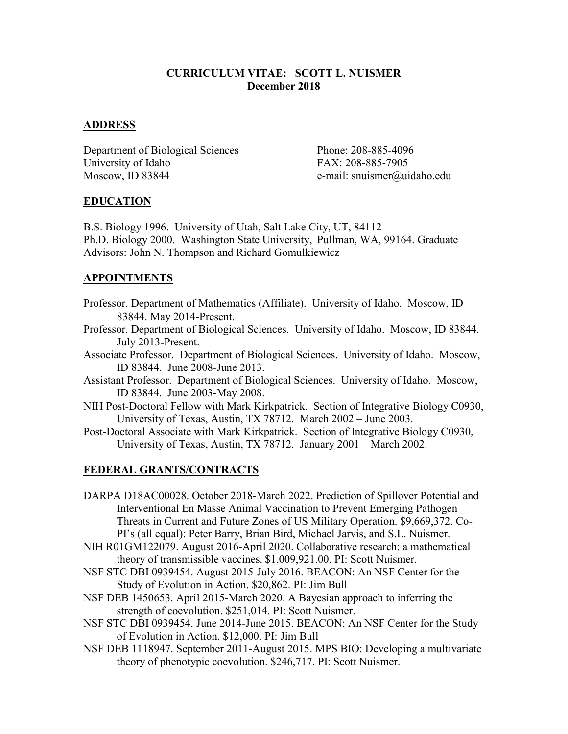#### **CURRICULUM VITAE: SCOTT L. NUISMER December 2018**

#### **ADDRESS**

Department of Biological Sciences Phone: 208-885-4096 University of Idaho FAX: 208-885-7905 Moscow, ID 83844 e-mail: snuismer@uidaho.edu

#### **EDUCATION**

B.S. Biology 1996. University of Utah, Salt Lake City, UT, 84112 Ph.D. Biology 2000. Washington State University, Pullman, WA, 99164. Graduate Advisors: John N. Thompson and Richard Gomulkiewicz

### **APPOINTMENTS**

- Professor. Department of Mathematics (Affiliate). University of Idaho. Moscow, ID 83844. May 2014-Present.
- Professor. Department of Biological Sciences. University of Idaho. Moscow, ID 83844. July 2013-Present.
- Associate Professor. Department of Biological Sciences. University of Idaho. Moscow, ID 83844. June 2008-June 2013.
- Assistant Professor. Department of Biological Sciences. University of Idaho. Moscow, ID 83844. June 2003-May 2008.
- NIH Post-Doctoral Fellow with Mark Kirkpatrick. Section of Integrative Biology C0930, University of Texas, Austin, TX 78712. March 2002 – June 2003.
- Post-Doctoral Associate with Mark Kirkpatrick. Section of Integrative Biology C0930, University of Texas, Austin, TX 78712. January 2001 – March 2002.

#### **FEDERAL GRANTS/CONTRACTS**

DARPA D18AC00028. October 2018-March 2022. Prediction of Spillover Potential and Interventional En Masse Animal Vaccination to Prevent Emerging Pathogen Threats in Current and Future Zones of US Military Operation. \$9,669,372. Co-PI's (all equal): Peter Barry, Brian Bird, Michael Jarvis, and S.L. Nuismer.

- NIH R01GM122079. August 2016-April 2020. Collaborative research: a mathematical theory of transmissible vaccines. \$1,009,921.00. PI: Scott Nuismer.
- NSF STC DBI 0939454. August 2015-July 2016. BEACON: An NSF Center for the Study of Evolution in Action. \$20,862. PI: Jim Bull
- NSF DEB 1450653. April 2015-March 2020. A Bayesian approach to inferring the strength of coevolution. \$251,014. PI: Scott Nuismer.
- NSF STC DBI 0939454. June 2014-June 2015. BEACON: An NSF Center for the Study of Evolution in Action. \$12,000. PI: Jim Bull
- NSF DEB 1118947. September 2011-August 2015. MPS BIO: Developing a multivariate theory of phenotypic coevolution. \$246,717. PI: Scott Nuismer.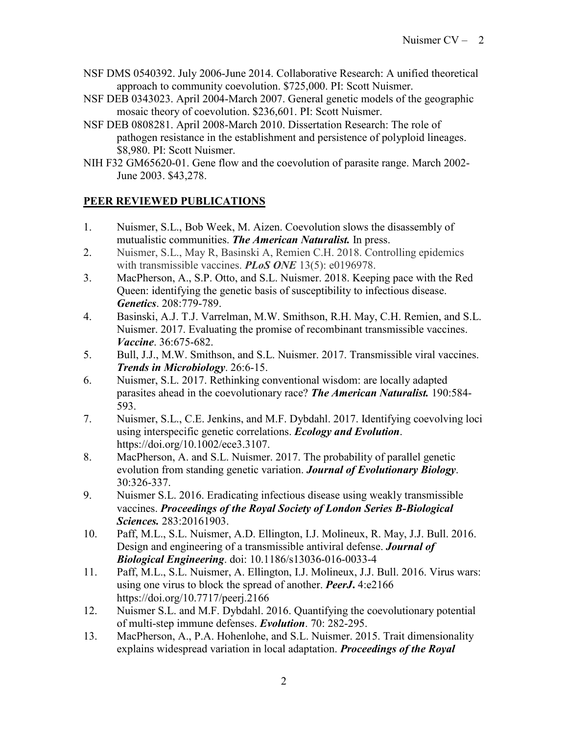- NSF DMS 0540392. July 2006-June 2014. Collaborative Research: A unified theoretical approach to community coevolution. \$725,000. PI: Scott Nuismer.
- NSF DEB 0343023. April 2004-March 2007. General genetic models of the geographic mosaic theory of coevolution. \$236,601. PI: Scott Nuismer.
- NSF DEB 0808281. April 2008-March 2010. Dissertation Research: The role of pathogen resistance in the establishment and persistence of polyploid lineages. \$8,980. PI: Scott Nuismer.
- NIH F32 GM65620-01. Gene flow and the coevolution of parasite range. March 2002- June 2003. \$43,278.

# **PEER REVIEWED PUBLICATIONS**

- 1. Nuismer, S.L., Bob Week, M. Aizen. Coevolution slows the disassembly of mutualistic communities. *The American Naturalist.* In press.
- 2. Nuismer, S.L., May R, Basinski A, Remien C.H. 2018. Controlling epidemics with transmissible vaccines. *PLoS ONE* 13(5): e0196978.
- 3. MacPherson, A., S.P. Otto, and S.L. Nuismer. 2018. Keeping pace with the Red Queen: identifying the genetic basis of susceptibility to infectious disease. *Genetics*. 208:779-789.
- 4. Basinski, A.J. T.J. Varrelman, M.W. Smithson, R.H. May, C.H. Remien, and S.L. Nuismer. 2017. Evaluating the promise of recombinant transmissible vaccines. *Vaccine*. 36:675-682.
- 5. Bull, J.J., M.W. Smithson, and S.L. Nuismer. 2017. Transmissible viral vaccines. *Trends in Microbiology*. 26:6-15.
- 6. Nuismer, S.L. 2017. Rethinking conventional wisdom: are locally adapted parasites ahead in the coevolutionary race? *The American Naturalist.* 190:584- 593.
- 7. Nuismer, S.L., C.E. Jenkins, and M.F. Dybdahl. 2017. Identifying coevolving loci using interspecific genetic correlations. *Ecology and Evolution*. https://doi.org/10.1002/ece3.3107.
- 8. MacPherson, A. and S.L. Nuismer. 2017. The probability of parallel genetic evolution from standing genetic variation. *Journal of Evolutionary Biology*. 30:326-337.
- 9. Nuismer S.L. 2016. Eradicating infectious disease using weakly transmissible vaccines. *Proceedings of the Royal Society of London Series B-Biological Sciences.* 283:20161903.
- 10. Paff, M.L., S.L. Nuismer, A.D. Ellington, I.J. Molineux, R. May, J.J. Bull. 2016. Design and engineering of a transmissible antiviral defense. *Journal of Biological Engineering*. doi: 10.1186/s13036-016-0033-4
- 11. Paff, M.L., S.L. Nuismer, A. Ellington, I.J. Molineux, J.J. Bull. 2016. Virus wars: using one virus to block the spread of another. *PeerJ***.** 4:e2166 https://doi.org/10.7717/peerj.2166
- 12. Nuismer S.L. and M.F. Dybdahl. 2016. Quantifying the coevolutionary potential of multi-step immune defenses. *Evolution*. 70: 282-295.
- 13. MacPherson, A., P.A. Hohenlohe, and S.L. Nuismer. 2015. Trait dimensionality explains widespread variation in local adaptation. *Proceedings of the Royal*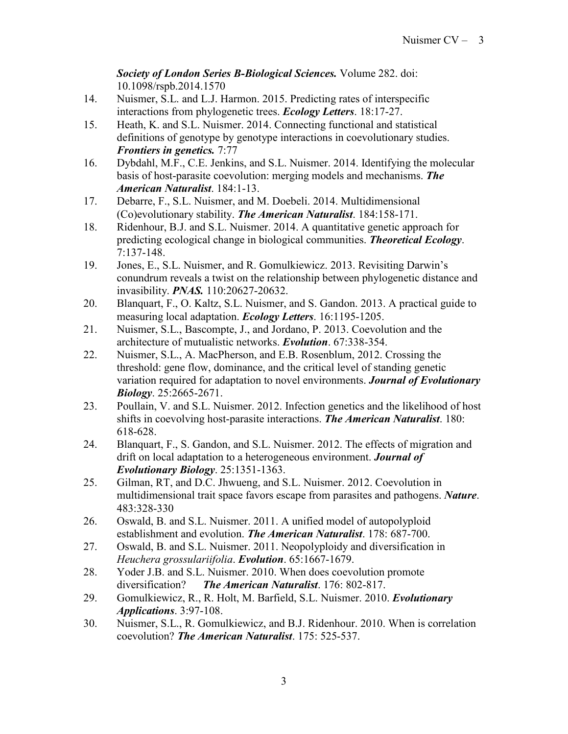*Society of London Series B-Biological Sciences.* Volume 282. doi: 10.1098/rspb.2014.1570

- 14. Nuismer, S.L. and L.J. Harmon. 2015. Predicting rates of interspecific interactions from phylogenetic trees. *Ecology Letters*. 18:17-27.
- 15. Heath, K. and S.L. Nuismer. 2014. Connecting functional and statistical definitions of genotype by genotype interactions in coevolutionary studies. *Frontiers in genetics.* 7:77
- 16. Dybdahl, M.F., C.E. Jenkins, and S.L. Nuismer. 2014. Identifying the molecular basis of host-parasite coevolution: merging models and mechanisms. *The American Naturalist*. 184:1-13.
- 17. Debarre, F., S.L. Nuismer, and M. Doebeli. 2014. Multidimensional (Co)evolutionary stability. *The American Naturalist*. 184:158-171.
- 18. Ridenhour, B.J. and S.L. Nuismer. 2014. A quantitative genetic approach for predicting ecological change in biological communities. *Theoretical Ecology*. 7:137-148.
- 19. Jones, E., S.L. Nuismer, and R. Gomulkiewicz. 2013. Revisiting Darwin's conundrum reveals a twist on the relationship between phylogenetic distance and invasibility. *PNAS.* 110:20627-20632.
- 20. Blanquart, F., O. Kaltz, S.L. Nuismer, and S. Gandon. 2013. A practical guide to measuring local adaptation. *Ecology Letters*. 16:1195-1205.
- 21. Nuismer, S.L., Bascompte, J., and Jordano, P. 2013. Coevolution and the architecture of mutualistic networks. *Evolution*. 67:338-354.
- 22. Nuismer, S.L., A. MacPherson, and E.B. Rosenblum, 2012. Crossing the threshold: gene flow, dominance, and the critical level of standing genetic variation required for adaptation to novel environments. *Journal of Evolutionary Biology*. 25:2665-2671.
- 23. Poullain, V. and S.L. Nuismer. 2012. Infection genetics and the likelihood of host shifts in coevolving host-parasite interactions. *The American Naturalist*. 180: 618-628.
- 24. Blanquart, F., S. Gandon, and S.L. Nuismer. 2012. The effects of migration and drift on local adaptation to a heterogeneous environment. *Journal of Evolutionary Biology*. 25:1351-1363.
- 25. Gilman, RT, and D.C. Jhwueng, and S.L. Nuismer. 2012. Coevolution in multidimensional trait space favors escape from parasites and pathogens. *Nature*. 483:328-330
- 26. Oswald, B. and S.L. Nuismer. 2011. A unified model of autopolyploid establishment and evolution. *The American Naturalist*. 178: 687-700.
- 27. Oswald, B. and S.L. Nuismer. 2011. Neopolyploidy and diversification in *Heuchera grossulariifolia*. *Evolution*. 65:1667-1679.
- 28. Yoder J.B. and S.L. Nuismer. 2010. When does coevolution promote diversification? *The American Naturalist*. 176: 802-817.
- 29. Gomulkiewicz, R., R. Holt, M. Barfield, S.L. Nuismer. 2010. *Evolutionary Applications*. 3:97-108.
- 30. Nuismer, S.L., R. Gomulkiewicz, and B.J. Ridenhour. 2010. When is correlation coevolution? *The American Naturalist*. 175: 525-537.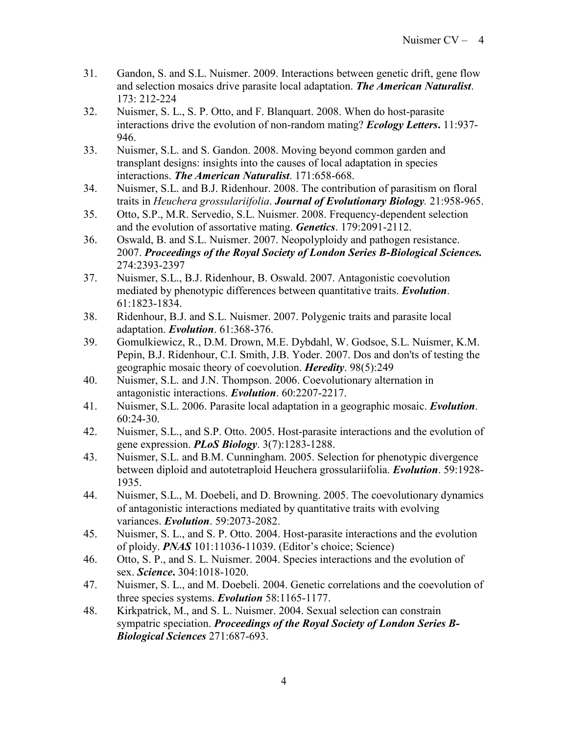- 31. Gandon, S. and S.L. Nuismer. 2009. Interactions between genetic drift, gene flow and selection mosaics drive parasite local adaptation. *The American Naturalist*. 173: 212-224
- 32. Nuismer, S. L., S. P. Otto, and F. Blanquart. 2008. When do host-parasite interactions drive the evolution of non-random mating? *Ecology Letters***.** 11:937- 946.
- 33. Nuismer, S.L. and S. Gandon. 2008. Moving beyond common garden and transplant designs: insights into the causes of local adaptation in species interactions. *The American Naturalist*. 171:658-668.
- 34. Nuismer, S.L. and B.J. Ridenhour. 2008. The contribution of parasitism on floral traits in *Heuchera grossulariifolia*. *Journal of Evolutionary Biology.* 21:958-965.
- 35. Otto, S.P., M.R. Servedio, S.L. Nuismer. 2008. Frequency-dependent selection and the evolution of assortative mating. *Genetics*. 179:2091-2112.
- 36. Oswald, B. and S.L. Nuismer. 2007. Neopolyploidy and pathogen resistance. 2007. *Proceedings of the Royal Society of London Series B-Biological Sciences.* 274:2393-2397
- 37. Nuismer, S.L., B.J. Ridenhour, B. Oswald. 2007. Antagonistic coevolution mediated by phenotypic differences between quantitative traits. *Evolution*. 61:1823-1834.
- 38. Ridenhour, B.J. and S.L. Nuismer. 2007. Polygenic traits and parasite local adaptation. *Evolution*. 61:368-376.
- 39. Gomulkiewicz, R., D.M. Drown, M.E. Dybdahl, W. Godsoe, S.L. Nuismer, K.M. Pepin, B.J. Ridenhour, C.I. Smith, J.B. Yoder. 2007. Dos and don'ts of testing the geographic mosaic theory of coevolution. *Heredity*. 98(5):249
- 40. Nuismer, S.L. and J.N. Thompson. 2006. Coevolutionary alternation in antagonistic interactions. *Evolution*. 60:2207-2217.
- 41. Nuismer, S.L. 2006. Parasite local adaptation in a geographic mosaic. *Evolution*. 60:24-30.
- 42. Nuismer, S.L., and S.P. Otto. 2005. Host-parasite interactions and the evolution of gene expression. *PLoS Biology*. 3(7):1283-1288.
- 43. Nuismer, S.L. and B.M. Cunningham. 2005. Selection for phenotypic divergence between diploid and autotetraploid Heuchera grossulariifolia. *Evolution*. 59:1928- 1935.
- 44. Nuismer, S.L., M. Doebeli, and D. Browning. 2005. The coevolutionary dynamics of antagonistic interactions mediated by quantitative traits with evolving variances. *Evolution*. 59:2073-2082.
- 45. Nuismer, S. L., and S. P. Otto. 2004. Host-parasite interactions and the evolution of ploidy. *PNAS* 101:11036-11039. (Editor's choice; Science)
- 46. Otto, S. P., and S. L. Nuismer. 2004. Species interactions and the evolution of sex. *Science***.** 304:1018-1020.
- 47. Nuismer, S. L., and M. Doebeli. 2004. Genetic correlations and the coevolution of three species systems. *Evolution* 58:1165-1177.
- 48. Kirkpatrick, M., and S. L. Nuismer. 2004. Sexual selection can constrain sympatric speciation. *Proceedings of the Royal Society of London Series B-Biological Sciences* 271:687-693.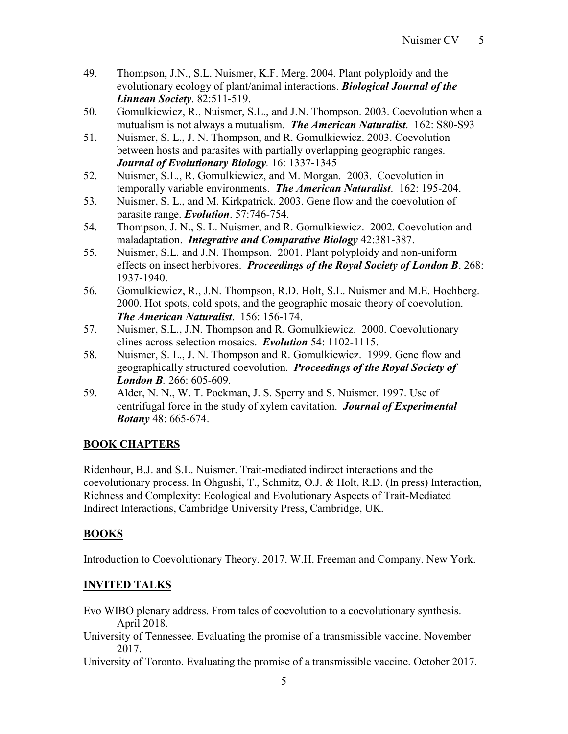- 49. Thompson, J.N., S.L. Nuismer, K.F. Merg. 2004. Plant polyploidy and the evolutionary ecology of plant/animal interactions. *Biological Journal of the Linnean Society*. 82:511-519.
- 50. Gomulkiewicz, R., Nuismer, S.L., and J.N. Thompson. 2003. Coevolution when a mutualism is not always a mutualism. *The American Naturalist*. 162: S80-S93
- 51. Nuismer, S. L., J. N. Thompson, and R. Gomulkiewicz. 2003. Coevolution between hosts and parasites with partially overlapping geographic ranges. *Journal of Evolutionary Biology.* 16: 1337-1345
- 52. Nuismer, S.L., R. Gomulkiewicz, and M. Morgan. 2003. Coevolution in temporally variable environments. *The American Naturalist*. 162: 195-204.
- 53. Nuismer, S. L., and M. Kirkpatrick. 2003. Gene flow and the coevolution of parasite range. *Evolution*. 57:746-754.
- 54. Thompson, J. N., S. L. Nuismer, and R. Gomulkiewicz. 2002. Coevolution and maladaptation. *Integrative and Comparative Biology* 42:381-387.
- 55. Nuismer, S.L. and J.N. Thompson. 2001. Plant polyploidy and non-uniform effects on insect herbivores. *Proceedings of the Royal Society of London B*. 268: 1937-1940.
- 56. Gomulkiewicz, R., J.N. Thompson, R.D. Holt, S.L. Nuismer and M.E. Hochberg. 2000. Hot spots, cold spots, and the geographic mosaic theory of coevolution. *The American Naturalist*. 156: 156-174.
- 57. Nuismer, S.L., J.N. Thompson and R. Gomulkiewicz. 2000. Coevolutionary clines across selection mosaics. *Evolution* 54: 1102-1115.
- 58. Nuismer, S. L., J. N. Thompson and R. Gomulkiewicz. 1999. Gene flow and geographically structured coevolution. *Proceedings of the Royal Society of London B.* 266: 605-609.
- 59. Alder, N. N., W. T. Pockman, J. S. Sperry and S. Nuismer. 1997. Use of centrifugal force in the study of xylem cavitation. *Journal of Experimental Botany* 48: 665-674.

# **BOOK CHAPTERS**

Ridenhour, B.J. and S.L. Nuismer. Trait-mediated indirect interactions and the coevolutionary process. In Ohgushi, T., Schmitz, O.J. & Holt, R.D. (In press) Interaction, Richness and Complexity: Ecological and Evolutionary Aspects of Trait-Mediated Indirect Interactions, Cambridge University Press, Cambridge, UK.

# **BOOKS**

Introduction to Coevolutionary Theory. 2017. W.H. Freeman and Company. New York.

# **INVITED TALKS**

- Evo WIBO plenary address. From tales of coevolution to a coevolutionary synthesis. April 2018.
- University of Tennessee. Evaluating the promise of a transmissible vaccine. November 2017.

University of Toronto. Evaluating the promise of a transmissible vaccine. October 2017.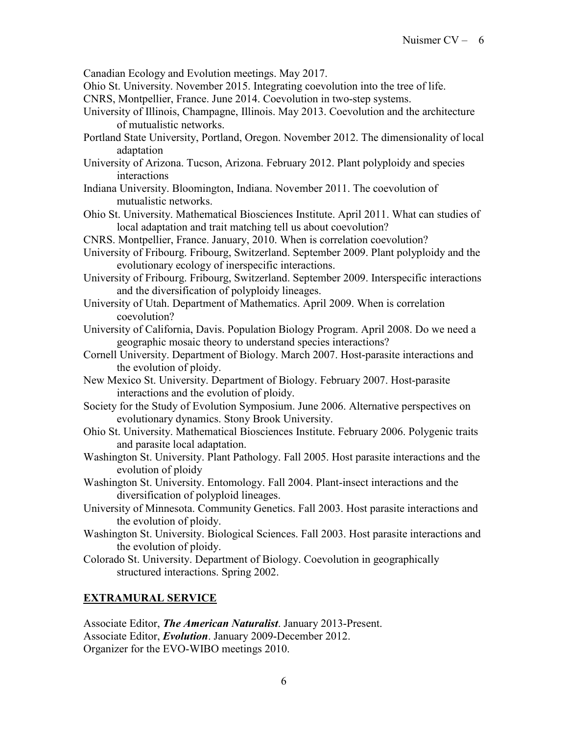Canadian Ecology and Evolution meetings. May 2017.

- Ohio St. University. November 2015. Integrating coevolution into the tree of life.
- CNRS, Montpellier, France. June 2014. Coevolution in two-step systems.
- University of Illinois, Champagne, Illinois. May 2013. Coevolution and the architecture of mutualistic networks.
- Portland State University, Portland, Oregon. November 2012. The dimensionality of local adaptation
- University of Arizona. Tucson, Arizona. February 2012. Plant polyploidy and species interactions
- Indiana University. Bloomington, Indiana. November 2011. The coevolution of mutualistic networks.
- Ohio St. University. Mathematical Biosciences Institute. April 2011. What can studies of local adaptation and trait matching tell us about coevolution?
- CNRS. Montpellier, France. January, 2010. When is correlation coevolution?
- University of Fribourg. Fribourg, Switzerland. September 2009. Plant polyploidy and the evolutionary ecology of inerspecific interactions.
- University of Fribourg. Fribourg, Switzerland. September 2009. Interspecific interactions and the diversification of polyploidy lineages.
- University of Utah. Department of Mathematics. April 2009. When is correlation coevolution?
- University of California, Davis. Population Biology Program. April 2008. Do we need a geographic mosaic theory to understand species interactions?
- Cornell University. Department of Biology. March 2007. Host-parasite interactions and the evolution of ploidy.
- New Mexico St. University. Department of Biology. February 2007. Host-parasite interactions and the evolution of ploidy.
- Society for the Study of Evolution Symposium. June 2006. Alternative perspectives on evolutionary dynamics. Stony Brook University.
- Ohio St. University. Mathematical Biosciences Institute. February 2006. Polygenic traits and parasite local adaptation.
- Washington St. University. Plant Pathology. Fall 2005. Host parasite interactions and the evolution of ploidy
- Washington St. University. Entomology. Fall 2004. Plant-insect interactions and the diversification of polyploid lineages.
- University of Minnesota. Community Genetics. Fall 2003. Host parasite interactions and the evolution of ploidy.
- Washington St. University. Biological Sciences. Fall 2003. Host parasite interactions and the evolution of ploidy.
- Colorado St. University. Department of Biology. Coevolution in geographically structured interactions. Spring 2002.

#### **EXTRAMURAL SERVICE**

Associate Editor, *The American Naturalist*. January 2013-Present. Associate Editor, *Evolution*. January 2009-December 2012. Organizer for the EVO-WIBO meetings 2010.